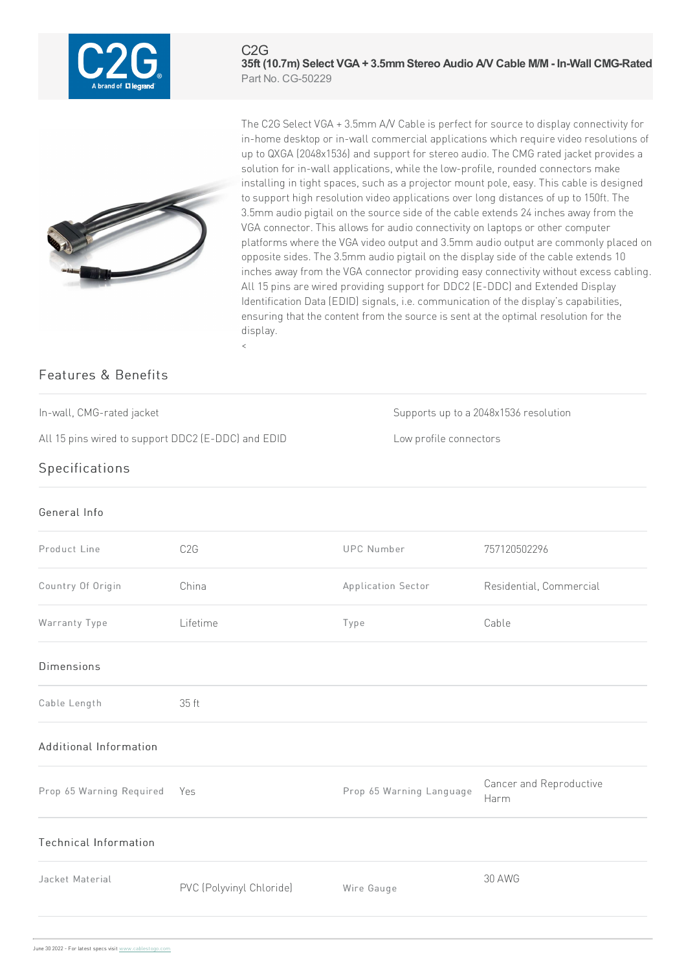

 $C2G$ **35ft (10.7m) Select VGA+ 3.5mmStereo Audio A/V Cable M/M - In-Wall CMG-Rated** Part No. CG-50229



The C2G Select VGA + 3.5mm A/V Cable is perfect for source to display connectivity for in-home desktop or in-wall commercial applications which require video resolutions of up to QXGA (2048x1536) and support for stereo audio. The CMG rated jacket provides a solution for in-wall applications, while the low-profile, rounded connectors make installing in tight spaces, such as a projector mount pole, easy. This cable is designed to support high resolution video applications over long distances of up to 150ft. The 3.5mm audio pigtail on the source side of the cable extends 24 inches away from the VGA connector. This allows for audio connectivity on laptops or other computer platforms where the VGA video output and 3.5mm audio output are commonly placed on opposite sides. The 3.5mm audio pigtail on the display side of the cable extends 10 inches away from the VGA connector providing easy connectivity without excess cabling. All 15 pins are wired providing support for DDC2 (E-DDC) and Extended Display Identification Data (EDID) signals, i.e. communication of the display's capabilities, ensuring that the content from the source is sent at the optimal resolution for the display.  $\overline{a}$ 

## Features & Benefits

All 15 pins wired to support DDC2 (E-DDC) and EDID Low profile connectors

In-wall, CMG-rated jacket Supportsup to a 2048x1536 resolution

## Specifications

## General Info Product Line C2G C2G UPC Number 757120502296 Country Of Origin China Application Sector Residential, Commercial Warranty Type Lifetime Type Cable Dimensions Cable Length 35ft Additional Information Prop 65 Warning Required Yes **Prop 65 Warning Language** Cancer and Reproductive Harm Technical Information Jacket Material PVC (Polyvinyl Chloride) Wire Gauge 30AWG